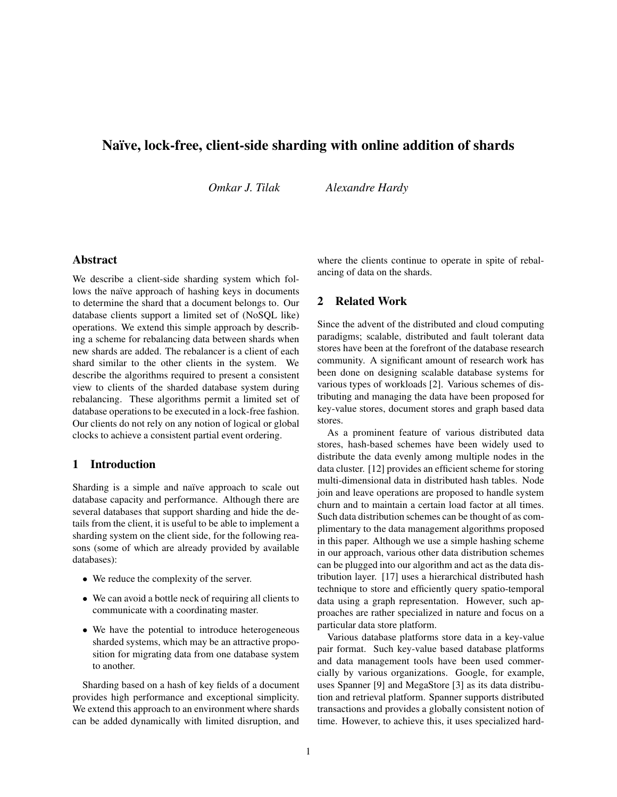# Naïve, lock-free, client-side sharding with online addition of shards

*Omkar J. Tilak Alexandre Hardy*

# Abstract

We describe a client-side sharding system which follows the naïve approach of hashing keys in documents to determine the shard that a document belongs to. Our database clients support a limited set of (NoSQL like) operations. We extend this simple approach by describing a scheme for rebalancing data between shards when new shards are added. The rebalancer is a client of each shard similar to the other clients in the system. We describe the algorithms required to present a consistent view to clients of the sharded database system during rebalancing. These algorithms permit a limited set of database operations to be executed in a lock-free fashion. Our clients do not rely on any notion of logical or global clocks to achieve a consistent partial event ordering.

# 1 Introduction

Sharding is a simple and naïve approach to scale out database capacity and performance. Although there are several databases that support sharding and hide the details from the client, it is useful to be able to implement a sharding system on the client side, for the following reasons (some of which are already provided by available databases):

- We reduce the complexity of the server.
- We can avoid a bottle neck of requiring all clients to communicate with a coordinating master.
- We have the potential to introduce heterogeneous sharded systems, which may be an attractive proposition for migrating data from one database system to another.

Sharding based on a hash of key fields of a document provides high performance and exceptional simplicity. We extend this approach to an environment where shards can be added dynamically with limited disruption, and where the clients continue to operate in spite of rebalancing of data on the shards.

# 2 Related Work

Since the advent of the distributed and cloud computing paradigms; scalable, distributed and fault tolerant data stores have been at the forefront of the database research community. A significant amount of research work has been done on designing scalable database systems for various types of workloads [2]. Various schemes of distributing and managing the data have been proposed for key-value stores, document stores and graph based data stores.

As a prominent feature of various distributed data stores, hash-based schemes have been widely used to distribute the data evenly among multiple nodes in the data cluster. [12] provides an efficient scheme for storing multi-dimensional data in distributed hash tables. Node join and leave operations are proposed to handle system churn and to maintain a certain load factor at all times. Such data distribution schemes can be thought of as complimentary to the data management algorithms proposed in this paper. Although we use a simple hashing scheme in our approach, various other data distribution schemes can be plugged into our algorithm and act as the data distribution layer. [17] uses a hierarchical distributed hash technique to store and efficiently query spatio-temporal data using a graph representation. However, such approaches are rather specialized in nature and focus on a particular data store platform.

Various database platforms store data in a key-value pair format. Such key-value based database platforms and data management tools have been used commercially by various organizations. Google, for example, uses Spanner [9] and MegaStore [3] as its data distribution and retrieval platform. Spanner supports distributed transactions and provides a globally consistent notion of time. However, to achieve this, it uses specialized hard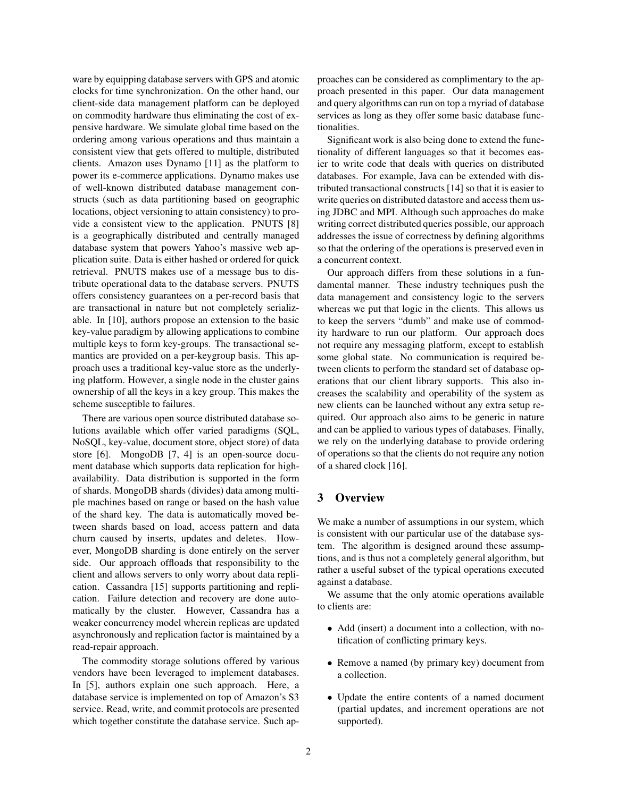ware by equipping database servers with GPS and atomic clocks for time synchronization. On the other hand, our client-side data management platform can be deployed on commodity hardware thus eliminating the cost of expensive hardware. We simulate global time based on the ordering among various operations and thus maintain a consistent view that gets offered to multiple, distributed clients. Amazon uses Dynamo [11] as the platform to power its e-commerce applications. Dynamo makes use of well-known distributed database management constructs (such as data partitioning based on geographic locations, object versioning to attain consistency) to provide a consistent view to the application. PNUTS [8] is a geographically distributed and centrally managed database system that powers Yahoo's massive web application suite. Data is either hashed or ordered for quick retrieval. PNUTS makes use of a message bus to distribute operational data to the database servers. PNUTS offers consistency guarantees on a per-record basis that are transactional in nature but not completely serializable. In [10], authors propose an extension to the basic key-value paradigm by allowing applications to combine multiple keys to form key-groups. The transactional semantics are provided on a per-keygroup basis. This approach uses a traditional key-value store as the underlying platform. However, a single node in the cluster gains ownership of all the keys in a key group. This makes the scheme susceptible to failures.

There are various open source distributed database solutions available which offer varied paradigms (SQL, NoSQL, key-value, document store, object store) of data store [6]. MongoDB [7, 4] is an open-source document database which supports data replication for highavailability. Data distribution is supported in the form of shards. MongoDB shards (divides) data among multiple machines based on range or based on the hash value of the shard key. The data is automatically moved between shards based on load, access pattern and data churn caused by inserts, updates and deletes. However, MongoDB sharding is done entirely on the server side. Our approach offloads that responsibility to the client and allows servers to only worry about data replication. Cassandra [15] supports partitioning and replication. Failure detection and recovery are done automatically by the cluster. However, Cassandra has a weaker concurrency model wherein replicas are updated asynchronously and replication factor is maintained by a read-repair approach.

The commodity storage solutions offered by various vendors have been leveraged to implement databases. In [5], authors explain one such approach. Here, a database service is implemented on top of Amazon's S3 service. Read, write, and commit protocols are presented which together constitute the database service. Such approaches can be considered as complimentary to the approach presented in this paper. Our data management and query algorithms can run on top a myriad of database services as long as they offer some basic database functionalities.

Significant work is also being done to extend the functionality of different languages so that it becomes easier to write code that deals with queries on distributed databases. For example, Java can be extended with distributed transactional constructs [14] so that it is easier to write queries on distributed datastore and access them using JDBC and MPI. Although such approaches do make writing correct distributed queries possible, our approach addresses the issue of correctness by defining algorithms so that the ordering of the operations is preserved even in a concurrent context.

Our approach differs from these solutions in a fundamental manner. These industry techniques push the data management and consistency logic to the servers whereas we put that logic in the clients. This allows us to keep the servers "dumb" and make use of commodity hardware to run our platform. Our approach does not require any messaging platform, except to establish some global state. No communication is required between clients to perform the standard set of database operations that our client library supports. This also increases the scalability and operability of the system as new clients can be launched without any extra setup required. Our approach also aims to be generic in nature and can be applied to various types of databases. Finally, we rely on the underlying database to provide ordering of operations so that the clients do not require any notion of a shared clock [16].

# 3 Overview

We make a number of assumptions in our system, which is consistent with our particular use of the database system. The algorithm is designed around these assumptions, and is thus not a completely general algorithm, but rather a useful subset of the typical operations executed against a database.

We assume that the only atomic operations available to clients are:

- Add (insert) a document into a collection, with notification of conflicting primary keys.
- Remove a named (by primary key) document from a collection.
- Update the entire contents of a named document (partial updates, and increment operations are not supported).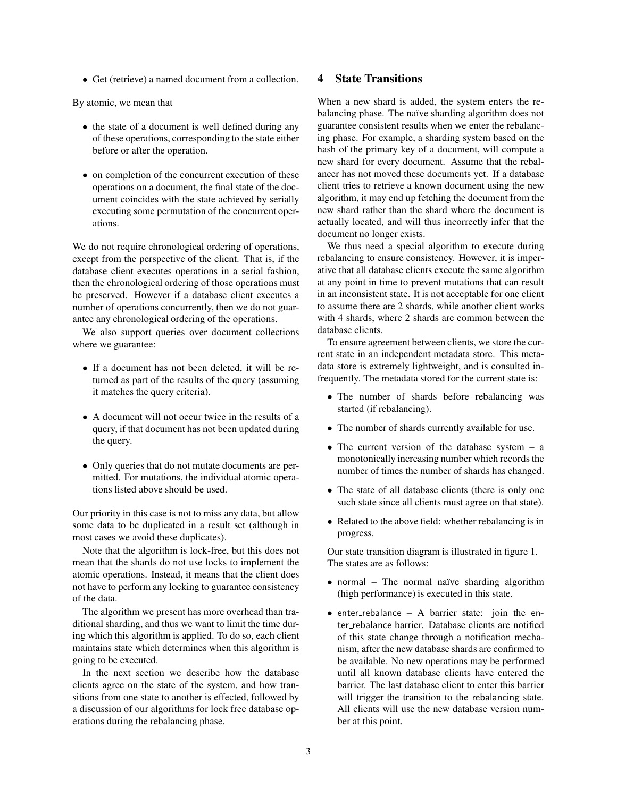• Get (retrieve) a named document from a collection.

By atomic, we mean that

- the state of a document is well defined during any of these operations, corresponding to the state either before or after the operation.
- on completion of the concurrent execution of these operations on a document, the final state of the document coincides with the state achieved by serially executing some permutation of the concurrent operations.

We do not require chronological ordering of operations, except from the perspective of the client. That is, if the database client executes operations in a serial fashion, then the chronological ordering of those operations must be preserved. However if a database client executes a number of operations concurrently, then we do not guarantee any chronological ordering of the operations.

We also support queries over document collections where we guarantee:

- If a document has not been deleted, it will be returned as part of the results of the query (assuming it matches the query criteria).
- A document will not occur twice in the results of a query, if that document has not been updated during the query.
- Only queries that do not mutate documents are permitted. For mutations, the individual atomic operations listed above should be used.

Our priority in this case is not to miss any data, but allow some data to be duplicated in a result set (although in most cases we avoid these duplicates).

Note that the algorithm is lock-free, but this does not mean that the shards do not use locks to implement the atomic operations. Instead, it means that the client does not have to perform any locking to guarantee consistency of the data.

The algorithm we present has more overhead than traditional sharding, and thus we want to limit the time during which this algorithm is applied. To do so, each client maintains state which determines when this algorithm is going to be executed.

In the next section we describe how the database clients agree on the state of the system, and how transitions from one state to another is effected, followed by a discussion of our algorithms for lock free database operations during the rebalancing phase.

# 4 State Transitions

When a new shard is added, the system enters the rebalancing phase. The naïve sharding algorithm does not guarantee consistent results when we enter the rebalancing phase. For example, a sharding system based on the hash of the primary key of a document, will compute a new shard for every document. Assume that the rebalancer has not moved these documents yet. If a database client tries to retrieve a known document using the new algorithm, it may end up fetching the document from the new shard rather than the shard where the document is actually located, and will thus incorrectly infer that the document no longer exists.

We thus need a special algorithm to execute during rebalancing to ensure consistency. However, it is imperative that all database clients execute the same algorithm at any point in time to prevent mutations that can result in an inconsistent state. It is not acceptable for one client to assume there are 2 shards, while another client works with 4 shards, where 2 shards are common between the database clients.

To ensure agreement between clients, we store the current state in an independent metadata store. This metadata store is extremely lightweight, and is consulted infrequently. The metadata stored for the current state is:

- The number of shards before rebalancing was started (if rebalancing).
- The number of shards currently available for use.
- The current version of the database system a monotonically increasing number which records the number of times the number of shards has changed.
- The state of all database clients (there is only one such state since all clients must agree on that state).
- Related to the above field: whether rebalancing is in progress.

Our state transition diagram is illustrated in figure 1. The states are as follows:

- normal The normal naïve sharding algorithm (high performance) is executed in this state.
- $\bullet$  enter\_rebalance A barrier state: join the enter rebalance barrier. Database clients are notified of this state change through a notification mechanism, after the new database shards are confirmed to be available. No new operations may be performed until all known database clients have entered the barrier. The last database client to enter this barrier will trigger the transition to the rebalancing state. All clients will use the new database version number at this point.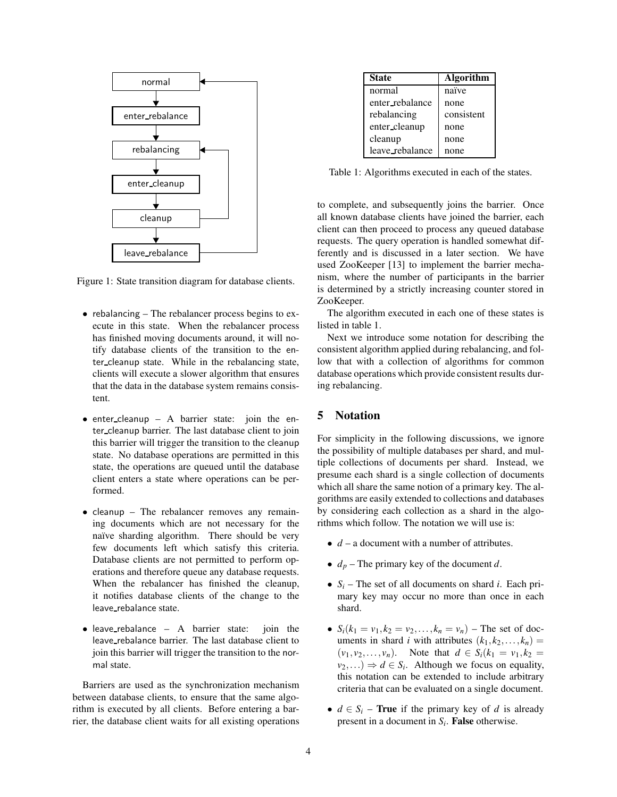

Figure 1: State transition diagram for database clients.

- rebalancing The rebalancer process begins to execute in this state. When the rebalancer process has finished moving documents around, it will notify database clients of the transition to the enter cleanup state. While in the rebalancing state, clients will execute a slower algorithm that ensures that the data in the database system remains consistent.
- enter cleanup A barrier state: join the enter cleanup barrier. The last database client to join this barrier will trigger the transition to the cleanup state. No database operations are permitted in this state, the operations are queued until the database client enters a state where operations can be performed.
- cleanup The rebalancer removes any remaining documents which are not necessary for the naïve sharding algorithm. There should be very few documents left which satisfy this criteria. Database clients are not permitted to perform operations and therefore queue any database requests. When the rebalancer has finished the cleanup, it notifies database clients of the change to the leave\_rebalance state.
- leave\_rebalance A barrier state: join the leave rebalance barrier. The last database client to join this barrier will trigger the transition to the normal state.

Barriers are used as the synchronization mechanism between database clients, to ensure that the same algorithm is executed by all clients. Before entering a barrier, the database client waits for all existing operations

| <b>State</b>    | <b>Algorithm</b> |
|-----------------|------------------|
| normal          | naïve            |
| enter_rebalance | none             |
| rebalancing     | consistent       |
| enter_cleanup   | none             |
| cleanup         | none             |
| leave_rebalance | none             |

Table 1: Algorithms executed in each of the states.

to complete, and subsequently joins the barrier. Once all known database clients have joined the barrier, each client can then proceed to process any queued database requests. The query operation is handled somewhat differently and is discussed in a later section. We have used ZooKeeper [13] to implement the barrier mechanism, where the number of participants in the barrier is determined by a strictly increasing counter stored in ZooKeeper.

The algorithm executed in each one of these states is listed in table 1.

Next we introduce some notation for describing the consistent algorithm applied during rebalancing, and follow that with a collection of algorithms for common database operations which provide consistent results during rebalancing.

#### 5 Notation

For simplicity in the following discussions, we ignore the possibility of multiple databases per shard, and multiple collections of documents per shard. Instead, we presume each shard is a single collection of documents which all share the same notion of a primary key. The algorithms are easily extended to collections and databases by considering each collection as a shard in the algorithms which follow. The notation we will use is:

- *d* a document with a number of attributes.
- $d_p$  The primary key of the document *d*.
- $S_i$  The set of all documents on shard *i*. Each primary key may occur no more than once in each shard.
- $S_i(k_1 = v_1, k_2 = v_2, \ldots, k_n = v_n)$  The set of documents in shard *i* with attributes  $(k_1, k_2, \ldots, k_n)$  =  $(v_1, v_2, \ldots, v_n)$ . Note that  $d \in S_i (k_1 = v_1, k_2 =$  $(v_2,...) \Rightarrow d \in S_i$ . Although we focus on equality, this notation can be extended to include arbitrary criteria that can be evaluated on a single document.
- $d \in S_i$  **True** if the primary key of *d* is already present in a document in *S<sup>i</sup>* . False otherwise.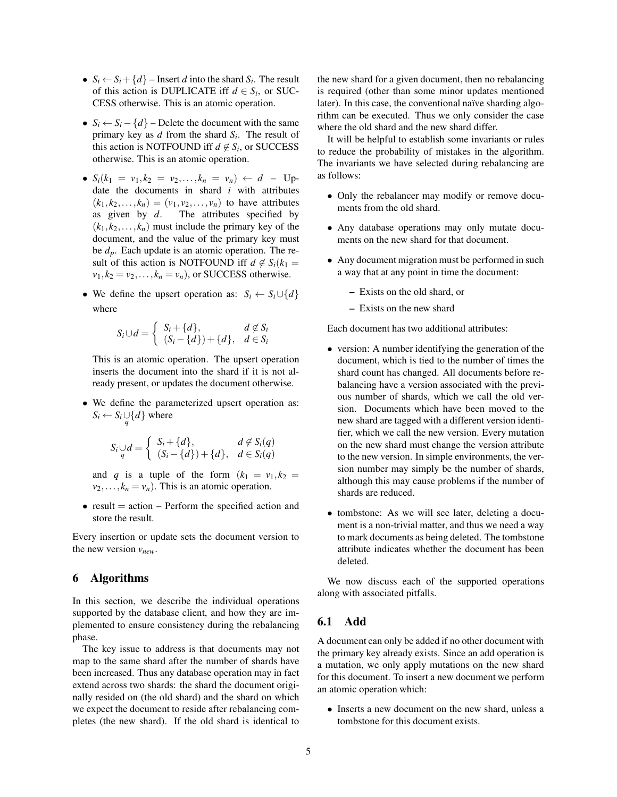- $S_i \leftarrow S_i + \{d\}$  Insert *d* into the shard  $S_i$ . The result of this action is DUPLICATE iff  $d \in S_i$ , or SUC-CESS otherwise. This is an atomic operation.
- $S_i \leftarrow S_i \{d\}$  Delete the document with the same primary key as *d* from the shard *S<sup>i</sup>* . The result of this action is NOTFOUND iff  $d \notin S_i$ , or SUCCESS otherwise. This is an atomic operation.
- $S_i(k_1 = v_1, k_2 = v_2, \ldots, k_n = v_n) \leftarrow d$  Update the documents in shard *i* with attributes  $(k_1, k_2, \ldots, k_n) = (v_1, v_2, \ldots, v_n)$  to have attributes as given by *d*. The attributes specified by  $(k_1, k_2, \ldots, k_n)$  must include the primary key of the document, and the value of the primary key must be *dp*. Each update is an atomic operation. The result of this action is NOTFOUND iff  $d \notin S_i(k_1 =$  $v_1, k_2 = v_2, \ldots, k_n = v_n$ , or SUCCESS otherwise.
- We define the upsert operation as:  $S_i \leftarrow S_i \cup \{d\}$ where

$$
S_i \cup d = \begin{cases} S_i + \{d\}, & d \notin S_i \\ (S_i - \{d\}) + \{d\}, & d \in S_i \end{cases}
$$

This is an atomic operation. The upsert operation inserts the document into the shard if it is not already present, or updates the document otherwise.

• We define the parameterized upsert operation as:  $S_i \leftarrow S_i \cup \{d\}$  where

$$
S_i \cup_d d = \left\{ \begin{array}{ll} S_i + \{d\}, & d \notin S_i(q) \\ (S_i - \{d\}) + \{d\}, & d \in S_i(q) \end{array} \right.
$$

and *q* is a tuple of the form  $(k_1 = v_1, k_2 =$  $v_2, \ldots, k_n = v_n$ ). This is an atomic operation.

• result  $=$  action  $-$  Perform the specified action and store the result.

Every insertion or update sets the document version to the new version *vnew*.

# 6 Algorithms

In this section, we describe the individual operations supported by the database client, and how they are implemented to ensure consistency during the rebalancing phase.

The key issue to address is that documents may not map to the same shard after the number of shards have been increased. Thus any database operation may in fact extend across two shards: the shard the document originally resided on (the old shard) and the shard on which we expect the document to reside after rebalancing completes (the new shard). If the old shard is identical to the new shard for a given document, then no rebalancing is required (other than some minor updates mentioned later). In this case, the conventional naïve sharding algorithm can be executed. Thus we only consider the case where the old shard and the new shard differ.

It will be helpful to establish some invariants or rules to reduce the probability of mistakes in the algorithm. The invariants we have selected during rebalancing are as follows:

- Only the rebalancer may modify or remove documents from the old shard.
- Any database operations may only mutate documents on the new shard for that document.
- Any document migration must be performed in such a way that at any point in time the document:
	- Exists on the old shard, or
	- Exists on the new shard

Each document has two additional attributes:

- version: A number identifying the generation of the document, which is tied to the number of times the shard count has changed. All documents before rebalancing have a version associated with the previous number of shards, which we call the old version. Documents which have been moved to the new shard are tagged with a different version identifier, which we call the new version. Every mutation on the new shard must change the version attribute to the new version. In simple environments, the version number may simply be the number of shards, although this may cause problems if the number of shards are reduced.
- tombstone: As we will see later, deleting a document is a non-trivial matter, and thus we need a way to mark documents as being deleted. The tombstone attribute indicates whether the document has been deleted.

We now discuss each of the supported operations along with associated pitfalls.

# 6.1 Add

A document can only be added if no other document with the primary key already exists. Since an add operation is a mutation, we only apply mutations on the new shard for this document. To insert a new document we perform an atomic operation which:

• Inserts a new document on the new shard, unless a tombstone for this document exists.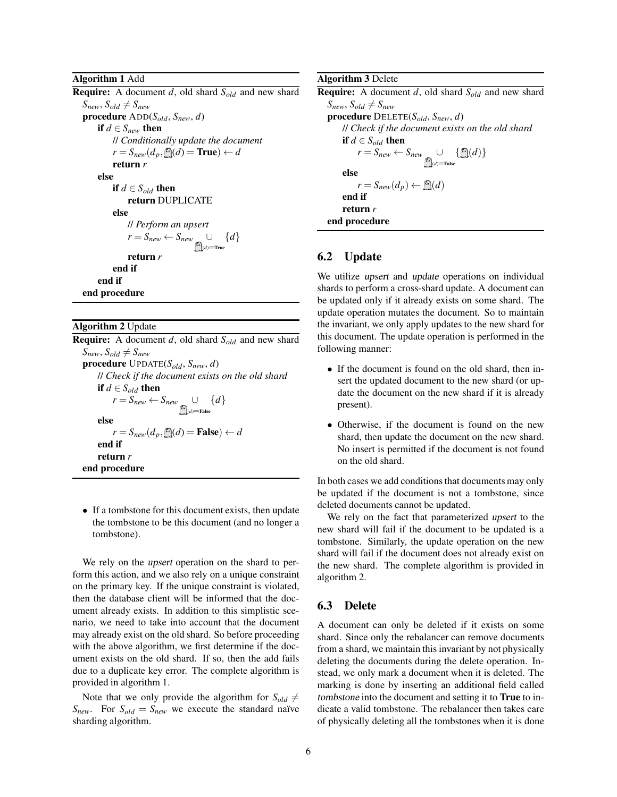Algorithm 1 Add

Require: A document *d*, old shard *Sold* and new shard  $S_{new}, S_{old} \neq S_{new}$ procedure ADD(*Sold*, *Snew*, *d*) if  $d \in S_{new}$  then // *Conditionally update the document*  $r = S_{new}(d_p, \triangleleft(d) = \text{True}) \leftarrow d$ return *r* else if  $d \in S_{old}$  then return DUPLICATE else // *Perform an upsert*  $r = S_{new} \leftarrow S_{new}$  ∪  $(d)$ =True {*d*} return *r* end if end if end procedure

Algorithm 2 Update Require: A document *d*, old shard *Sold* and new shard  $S_{new}, S_{old} \neq S_{new}$ procedure UPDATE(*Sold*, *Snew*, *d*) // *Check if the document exists on the old shard* if  $d \in S_{old}$  then  $r = S_{new} \leftarrow S_{new}$  ∪  $(d)$ =False {*d*} else  $r = S_{new}(d_p, \hat{=}n{d}) =$ **False**)  $\leftarrow d$ end if return *r* end procedure

• If a tombstone for this document exists, then update the tombstone to be this document (and no longer a tombstone).

We rely on the upsert operation on the shard to perform this action, and we also rely on a unique constraint on the primary key. If the unique constraint is violated, then the database client will be informed that the document already exists. In addition to this simplistic scenario, we need to take into account that the document may already exist on the old shard. So before proceeding with the above algorithm, we first determine if the document exists on the old shard. If so, then the add fails due to a duplicate key error. The complete algorithm is provided in algorithm 1.

Note that we only provide the algorithm for  $S_{old} \neq$  $S_{new}$ . For  $S_{old} = S_{new}$  we execute the standard naïve sharding algorithm.

Algorithm 3 Delete

Require: A document *d*, old shard *Sold* and new shard  $S_{new}, S_{old} \neq S_{new}$ procedure DELETE(*Sold*, *Snew*, *d*) // *Check if the document exists on the old shard* if  $d \in S_{old}$  then  $r = S_{new} \leftarrow S_{new}$  ∪  $(d)$ =False  $\{\bigcap\{d\}\}\$ else  $r = S_{new}(d_p) \leftarrow \mathbf{m}(d)$ end if return *r* end procedure

# 6.2 Update

We utilize upsert and update operations on individual shards to perform a cross-shard update. A document can be updated only if it already exists on some shard. The update operation mutates the document. So to maintain the invariant, we only apply updates to the new shard for this document. The update operation is performed in the following manner:

- If the document is found on the old shard, then insert the updated document to the new shard (or update the document on the new shard if it is already present).
- Otherwise, if the document is found on the new shard, then update the document on the new shard. No insert is permitted if the document is not found on the old shard.

In both cases we add conditions that documents may only be updated if the document is not a tombstone, since deleted documents cannot be updated.

We rely on the fact that parameterized upsert to the new shard will fail if the document to be updated is a tombstone. Similarly, the update operation on the new shard will fail if the document does not already exist on the new shard. The complete algorithm is provided in algorithm 2.

### 6.3 Delete

A document can only be deleted if it exists on some shard. Since only the rebalancer can remove documents from a shard, we maintain this invariant by not physically deleting the documents during the delete operation. Instead, we only mark a document when it is deleted. The marking is done by inserting an additional field called tombstone into the document and setting it to True to indicate a valid tombstone. The rebalancer then takes care of physically deleting all the tombstones when it is done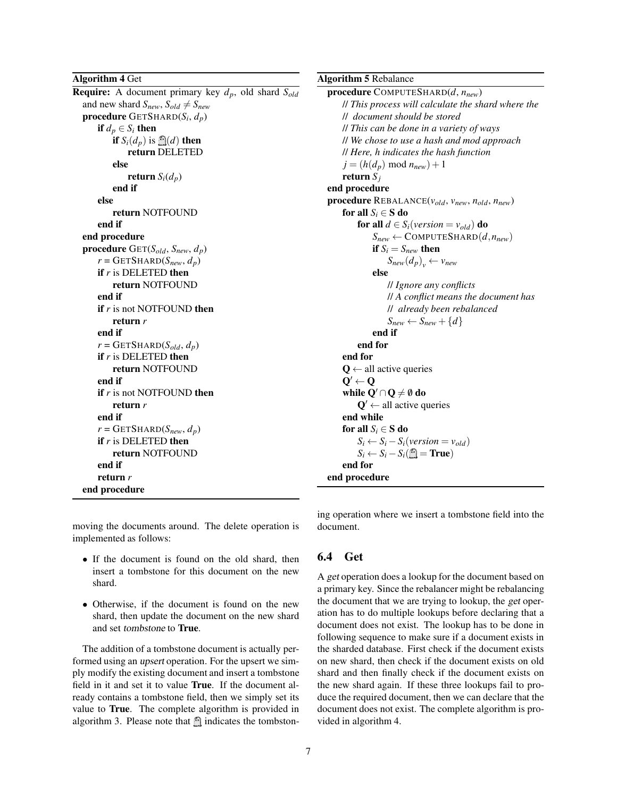Algorithm 4 Get

Require: A document primary key *dp*, old shard *Sold* and new shard  $S_{new}$ ,  $S_{old} \neq S_{new}$ procedure GETSHARD(*S<sup>i</sup>* , *dp*) if  $d_p \in S_i$  then if  $S_i(d_n)$  is  $\bigcap (d)$  then return DELETED else return  $S_i(d_p)$ end if else return NOTFOUND end if end procedure procedure GET(*Sold*, *Snew*, *dp*)  $r = \text{GETSHARD}(S_{new}, d_p)$ if *r* is DELETED then return NOTFOUND end if **if** *r* is not NOTFOUND then return *r* end if  $r = \text{GETSHARD}(S_{old}, d_p)$ if *r* is DELETED then return NOTFOUND end if if *r* is not NOTFOUND then return *r* end if  $r = \text{GETSHARD}(S_{new}, d_p)$ if *r* is DELETED then return NOTFOUND end if return *r* end procedure

moving the documents around. The delete operation is implemented as follows:

- If the document is found on the old shard, then insert a tombstone for this document on the new shard.
- Otherwise, if the document is found on the new shard, then update the document on the new shard and set tombstone to True.

The addition of a tombstone document is actually performed using an upsert operation. For the upsert we simply modify the existing document and insert a tombstone field in it and set it to value True. If the document already contains a tombstone field, then we simply set its value to True. The complete algorithm is provided in algorithm 3. Please note that  $\hat{m}$  indicates the tombstonAlgorithm 5 Rebalance

```
procedure COMPUTESHARD(d, nnew)
    // This process will calculate the shard where the
    // document should be stored
    // This can be done in a variety of ways
    // We chose to use a hash and mod approach
    // Here, h indicates the hash function
    j = (h(d_p) \mod n_{new}) + 1return Sj
end procedure
procedure REBALANCE(vold, vnew, nold, nnew)
    for all S_i \in S do
         for all d \in S_i(\text{version} = v_{old}) do
             S_{new} \leftarrow COMPUTESHARD(d, n_{new})if S_i = S_{new} then
                  S_{new}(d_p)_{v} \leftarrow v_{new}else
                  // Ignore any conflicts
                  // A conflict means the document has
                  // already been rebalanced
                  S_{new} \leftarrow S_{new} + \{d\}end if
         end for
    end for
    Q \leftarrow all active queries
    \mathbf{Q}' \leftarrow \mathbf{Q}while Q' \cap Q \neq \emptyset do
         \mathbf{Q}' \leftarrow all active queries
    end while
    for all S_i \in S do
         S_i \leftarrow S_i - S_i(\text{version} = \text{v}_{old})S_i \leftarrow S_i - S_i(\blacksquare = True)
    end for
end procedure
```
ing operation where we insert a tombstone field into the document.

# 6.4 Get

A get operation does a lookup for the document based on a primary key. Since the rebalancer might be rebalancing the document that we are trying to lookup, the get operation has to do multiple lookups before declaring that a document does not exist. The lookup has to be done in following sequence to make sure if a document exists in the sharded database. First check if the document exists on new shard, then check if the document exists on old shard and then finally check if the document exists on the new shard again. If these three lookups fail to produce the required document, then we can declare that the document does not exist. The complete algorithm is provided in algorithm 4.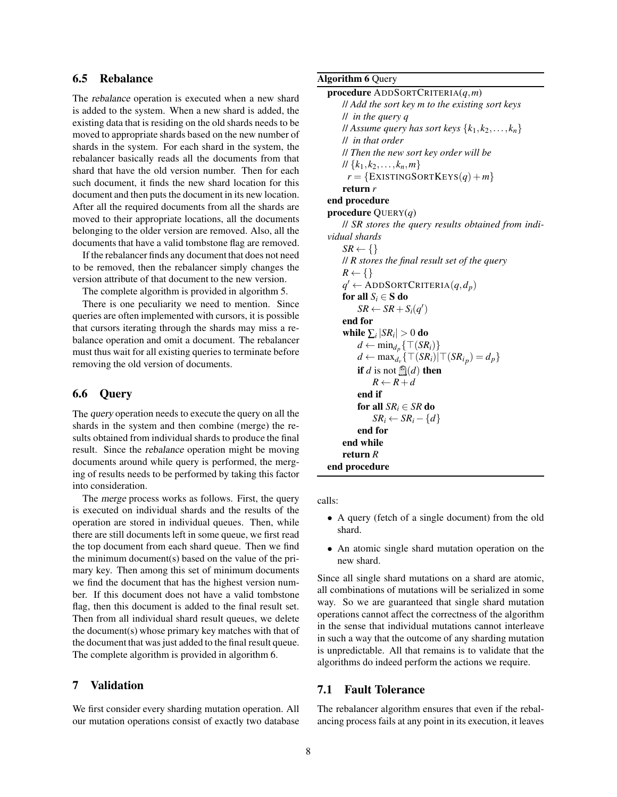# 6.5 Rebalance

The rebalance operation is executed when a new shard is added to the system. When a new shard is added, the existing data that is residing on the old shards needs to be moved to appropriate shards based on the new number of shards in the system. For each shard in the system, the rebalancer basically reads all the documents from that shard that have the old version number. Then for each such document, it finds the new shard location for this document and then puts the document in its new location. After all the required documents from all the shards are moved to their appropriate locations, all the documents belonging to the older version are removed. Also, all the documents that have a valid tombstone flag are removed.

If the rebalancer finds any document that does not need to be removed, then the rebalancer simply changes the version attribute of that document to the new version.

The complete algorithm is provided in algorithm 5.

There is one peculiarity we need to mention. Since queries are often implemented with cursors, it is possible that cursors iterating through the shards may miss a rebalance operation and omit a document. The rebalancer must thus wait for all existing queries to terminate before removing the old version of documents.

# 6.6 Query

The query operation needs to execute the query on all the shards in the system and then combine (merge) the results obtained from individual shards to produce the final result. Since the rebalance operation might be moving documents around while query is performed, the merging of results needs to be performed by taking this factor into consideration.

The merge process works as follows. First, the query is executed on individual shards and the results of the operation are stored in individual queues. Then, while there are still documents left in some queue, we first read the top document from each shard queue. Then we find the minimum document(s) based on the value of the primary key. Then among this set of minimum documents we find the document that has the highest version number. If this document does not have a valid tombstone flag, then this document is added to the final result set. Then from all individual shard result queues, we delete the document(s) whose primary key matches with that of the document that was just added to the final result queue. The complete algorithm is provided in algorithm 6.

# 7 Validation

We first consider every sharding mutation operation. All our mutation operations consist of exactly two database

#### Algorithm 6 Query

```
procedure ADDSORTCRITERIA(q,m)
    // Add the sort key m to the existing sort keys
    // in the query q
    \{K_1, K_2, \ldots, K_n\}// in that order
    // Then the new sort key order will be
    \{k_1, k_2, \ldots, k_n, m\}r = \{EXISTINGSORTKEYS(q) + m\}return r
end procedure
procedure QUERY(q)
    // SR stores the query results obtained from indi-
vidual shards
    SR \leftarrow \{\}// R stores the final result set of the query
    R \leftarrow \{\}q' \leftarrow ADDSORTCRITERIA(q, d_p)for all S_i \in S do
         SR \leftarrow SR + S_i(q')end for
    while \sum_i |SR_i| > 0 do
         d ← min<sub>d<sub>p</sub></sub>{\top(SR<sub>i</sub>)}
         d ← max<sub>d_v</sub> { \top(SR_i) | \top(SR_i_p) = d_p }
        if d is not \mathbb{D}(d) then
            R \leftarrow R + dend if
        for all SR_i \in SR do
            SR_i \leftarrow SR_i - \{d\}end for
    end while
    return R
end procedure
```
calls:

- A query (fetch of a single document) from the old shard.
- An atomic single shard mutation operation on the new shard.

Since all single shard mutations on a shard are atomic, all combinations of mutations will be serialized in some way. So we are guaranteed that single shard mutation operations cannot affect the correctness of the algorithm in the sense that individual mutations cannot interleave in such a way that the outcome of any sharding mutation is unpredictable. All that remains is to validate that the algorithms do indeed perform the actions we require.

# 7.1 Fault Tolerance

The rebalancer algorithm ensures that even if the rebalancing process fails at any point in its execution, it leaves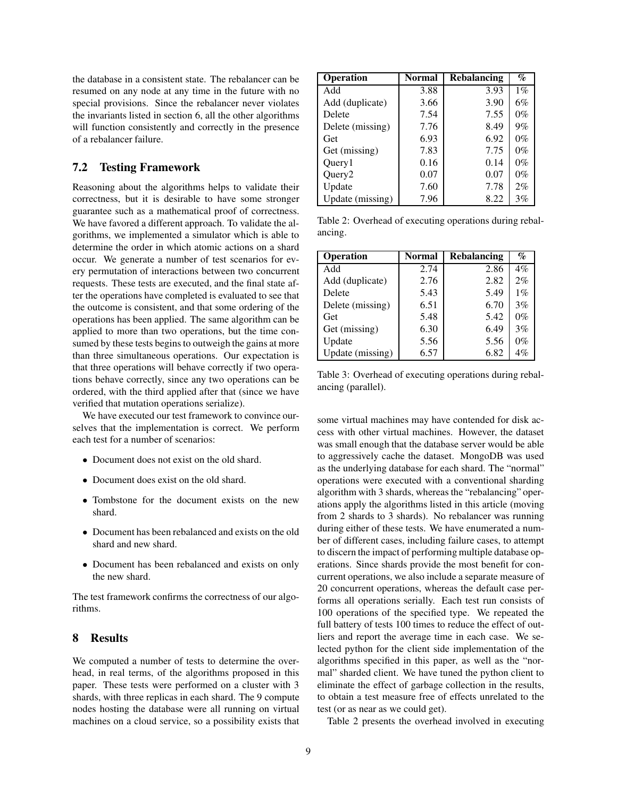the database in a consistent state. The rebalancer can be resumed on any node at any time in the future with no special provisions. Since the rebalancer never violates the invariants listed in section 6, all the other algorithms will function consistently and correctly in the presence of a rebalancer failure.

### 7.2 Testing Framework

Reasoning about the algorithms helps to validate their correctness, but it is desirable to have some stronger guarantee such as a mathematical proof of correctness. We have favored a different approach. To validate the algorithms, we implemented a simulator which is able to determine the order in which atomic actions on a shard occur. We generate a number of test scenarios for every permutation of interactions between two concurrent requests. These tests are executed, and the final state after the operations have completed is evaluated to see that the outcome is consistent, and that some ordering of the operations has been applied. The same algorithm can be applied to more than two operations, but the time consumed by these tests begins to outweigh the gains at more than three simultaneous operations. Our expectation is that three operations will behave correctly if two operations behave correctly, since any two operations can be ordered, with the third applied after that (since we have verified that mutation operations serialize).

We have executed our test framework to convince ourselves that the implementation is correct. We perform each test for a number of scenarios:

- Document does not exist on the old shard.
- Document does exist on the old shard.
- Tombstone for the document exists on the new shard.
- Document has been rebalanced and exists on the old shard and new shard.
- Document has been rebalanced and exists on only the new shard.

The test framework confirms the correctness of our algorithms.

## 8 Results

We computed a number of tests to determine the overhead, in real terms, of the algorithms proposed in this paper. These tests were performed on a cluster with 3 shards, with three replicas in each shard. The 9 compute nodes hosting the database were all running on virtual machines on a cloud service, so a possibility exists that

| <b>Operation</b>   | Normal | <b>Rebalancing</b> | $\%$  |
|--------------------|--------|--------------------|-------|
| Add                | 3.88   | 3.93               | $1\%$ |
| Add (duplicate)    | 3.66   | 3.90               | 6%    |
| Delete             | 7.54   | 7.55               | $0\%$ |
| Delete (missing)   | 7.76   | 8.49               | 9%    |
| Get                | 6.93   | 6.92               | $0\%$ |
| Get (missing)      | 7.83   | 7.75               | $0\%$ |
| Query1             | 0.16   | 0.14               | $0\%$ |
| Query <sub>2</sub> | 0.07   | 0.07               | $0\%$ |
| Update             | 7.60   | 7.78               | 2%    |
| Update (missing)   | 7.96   | 8.22               | 3%    |

Table 2: Overhead of executing operations during rebalancing.

| <b>Operation</b> | Normal | <b>Rebalancing</b> | $\%$  |
|------------------|--------|--------------------|-------|
| Add              | 2.74   | 2.86               | $4\%$ |
| Add (duplicate)  | 2.76   | 2.82               | 2%    |
| Delete           | 5.43   | 5.49               | $1\%$ |
| Delete (missing) | 6.51   | 6.70               | 3%    |
| Get              | 5.48   | 5.42               | $0\%$ |
| Get (missing)    | 6.30   | 6.49               | 3%    |
| Update           | 5.56   | 5.56               | $0\%$ |
| Update (missing) | 6.57   | 6.82               | $4\%$ |

Table 3: Overhead of executing operations during rebalancing (parallel).

some virtual machines may have contended for disk access with other virtual machines. However, the dataset was small enough that the database server would be able to aggressively cache the dataset. MongoDB was used as the underlying database for each shard. The "normal" operations were executed with a conventional sharding algorithm with 3 shards, whereas the "rebalancing" operations apply the algorithms listed in this article (moving from 2 shards to 3 shards). No rebalancer was running during either of these tests. We have enumerated a number of different cases, including failure cases, to attempt to discern the impact of performing multiple database operations. Since shards provide the most benefit for concurrent operations, we also include a separate measure of 20 concurrent operations, whereas the default case performs all operations serially. Each test run consists of 100 operations of the specified type. We repeated the full battery of tests 100 times to reduce the effect of outliers and report the average time in each case. We selected python for the client side implementation of the algorithms specified in this paper, as well as the "normal" sharded client. We have tuned the python client to eliminate the effect of garbage collection in the results, to obtain a test measure free of effects unrelated to the test (or as near as we could get).

Table 2 presents the overhead involved in executing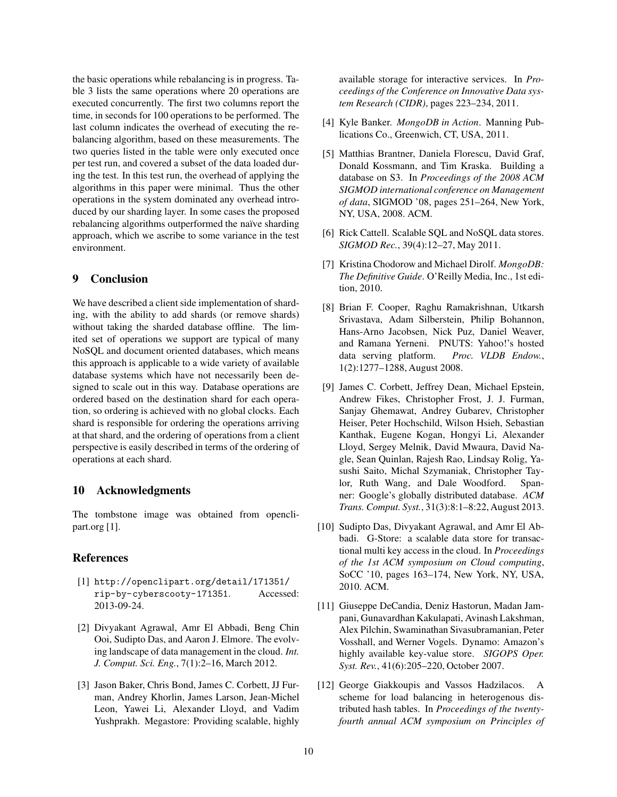the basic operations while rebalancing is in progress. Table 3 lists the same operations where 20 operations are executed concurrently. The first two columns report the time, in seconds for 100 operations to be performed. The last column indicates the overhead of executing the rebalancing algorithm, based on these measurements. The two queries listed in the table were only executed once per test run, and covered a subset of the data loaded during the test. In this test run, the overhead of applying the algorithms in this paper were minimal. Thus the other operations in the system dominated any overhead introduced by our sharding layer. In some cases the proposed rebalancing algorithms outperformed the naïve sharding approach, which we ascribe to some variance in the test environment.

### 9 Conclusion

We have described a client side implementation of sharding, with the ability to add shards (or remove shards) without taking the sharded database offline. The limited set of operations we support are typical of many NoSQL and document oriented databases, which means this approach is applicable to a wide variety of available database systems which have not necessarily been designed to scale out in this way. Database operations are ordered based on the destination shard for each operation, so ordering is achieved with no global clocks. Each shard is responsible for ordering the operations arriving at that shard, and the ordering of operations from a client perspective is easily described in terms of the ordering of operations at each shard.

#### 10 Acknowledgments

The tombstone image was obtained from openclipart.org [1].

### References

- [1] http://openclipart.org/detail/171351/ rip-by-cyberscooty-171351. Accessed: 2013-09-24.
- [2] Divyakant Agrawal, Amr El Abbadi, Beng Chin Ooi, Sudipto Das, and Aaron J. Elmore. The evolving landscape of data management in the cloud. *Int. J. Comput. Sci. Eng.*, 7(1):2–16, March 2012.
- [3] Jason Baker, Chris Bond, James C. Corbett, JJ Furman, Andrey Khorlin, James Larson, Jean-Michel Leon, Yawei Li, Alexander Lloyd, and Vadim Yushprakh. Megastore: Providing scalable, highly

available storage for interactive services. In *Proceedings of the Conference on Innovative Data system Research (CIDR)*, pages 223–234, 2011.

- [4] Kyle Banker. *MongoDB in Action*. Manning Publications Co., Greenwich, CT, USA, 2011.
- [5] Matthias Brantner, Daniela Florescu, David Graf, Donald Kossmann, and Tim Kraska. Building a database on S3. In *Proceedings of the 2008 ACM SIGMOD international conference on Management of data*, SIGMOD '08, pages 251–264, New York, NY, USA, 2008. ACM.
- [6] Rick Cattell. Scalable SQL and NoSQL data stores. *SIGMOD Rec.*, 39(4):12–27, May 2011.
- [7] Kristina Chodorow and Michael Dirolf. *MongoDB: The Definitive Guide*. O'Reilly Media, Inc., 1st edition, 2010.
- [8] Brian F. Cooper, Raghu Ramakrishnan, Utkarsh Srivastava, Adam Silberstein, Philip Bohannon, Hans-Arno Jacobsen, Nick Puz, Daniel Weaver, and Ramana Yerneni. PNUTS: Yahoo!'s hosted data serving platform. *Proc. VLDB Endow.*, 1(2):1277–1288, August 2008.
- [9] James C. Corbett, Jeffrey Dean, Michael Epstein, Andrew Fikes, Christopher Frost, J. J. Furman, Sanjay Ghemawat, Andrey Gubarev, Christopher Heiser, Peter Hochschild, Wilson Hsieh, Sebastian Kanthak, Eugene Kogan, Hongyi Li, Alexander Lloyd, Sergey Melnik, David Mwaura, David Nagle, Sean Quinlan, Rajesh Rao, Lindsay Rolig, Yasushi Saito, Michal Szymaniak, Christopher Taylor, Ruth Wang, and Dale Woodford. Spanner: Google's globally distributed database. *ACM Trans. Comput. Syst.*, 31(3):8:1–8:22, August 2013.
- [10] Sudipto Das, Divyakant Agrawal, and Amr El Abbadi. G-Store: a scalable data store for transactional multi key access in the cloud. In *Proceedings of the 1st ACM symposium on Cloud computing*, SoCC '10, pages 163–174, New York, NY, USA, 2010. ACM.
- [11] Giuseppe DeCandia, Deniz Hastorun, Madan Jampani, Gunavardhan Kakulapati, Avinash Lakshman, Alex Pilchin, Swaminathan Sivasubramanian, Peter Vosshall, and Werner Vogels. Dynamo: Amazon's highly available key-value store. *SIGOPS Oper. Syst. Rev.*, 41(6):205–220, October 2007.
- [12] George Giakkoupis and Vassos Hadzilacos. A scheme for load balancing in heterogenous distributed hash tables. In *Proceedings of the twentyfourth annual ACM symposium on Principles of*